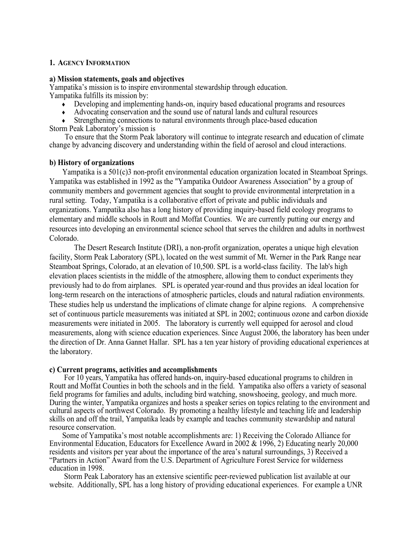#### **1. AGENCY INFORMATION**

#### **a) Mission statements, goals and objectives**

Yampatika's mission is to inspire environmental stewardship through education. Yampatika fulfills its mission by:

- Developing and implementing hands-on, inquiry based educational programs and resources
- Advocating conservation and the sound use of natural lands and cultural resources

Strengthening connections to natural environments through place-based education Storm Peak Laboratory's mission is

To ensure that the Storm Peak laboratory will continue to integrate research and education of climate change by advancing discovery and understanding within the field of aerosol and cloud interactions.

#### **b) History of organizations**

 Yampatika is a 501(c)3 non-profit environmental education organization located in Steamboat Springs. Yampatika was established in 1992 as the "Yampatika Outdoor Awareness Association" by a group of community members and government agencies that sought to provide environmental interpretation in a rural setting. Today, Yampatika is a collaborative effort of private and public individuals and organizations. Yampatika also has a long history of providing inquiry-based field ecology programs to elementary and middle schools in Routt and Moffat Counties. We are currently putting our energy and resources into developing an environmental science school that serves the children and adults in northwest Colorado.

The Desert Research Institute (DRI), a non-profit organization, operates a unique high elevation facility, Storm Peak Laboratory (SPL), located on the west summit of Mt. Werner in the Park Range near Steamboat Springs, Colorado, at an elevation of 10,500. SPL is a world-class facility. The lab's high elevation places scientists in the middle of the atmosphere, allowing them to conduct experiments they previously had to do from airplanes. SPL is operated year-round and thus provides an ideal location for long-term research on the interactions of atmospheric particles, clouds and natural radiation environments. These studies help us understand the implications of climate change for alpine regions. A comprehensive set of continuous particle measurements was initiated at SPL in 2002; continuous ozone and carbon dioxide measurements were initiated in 2005. The laboratory is currently well equipped for aerosol and cloud measurements, along with science education experiences. Since August 2006, the laboratory has been under the direction of Dr. Anna Gannet Hallar. SPL has a ten year history of providing educational experiences at the laboratory.

#### **c) Current programs, activities and accomplishments**

 For 10 years, Yampatika has offered hands-on, inquiry-based educational programs to children in Routt and Moffat Counties in both the schools and in the field. Yampatika also offers a variety of seasonal field programs for families and adults, including bird watching, snowshoeing, geology, and much more. During the winter, Yampatika organizes and hosts a speaker series on topics relating to the environment and cultural aspects of northwest Colorado. By promoting a healthy lifestyle and teaching life and leadership skills on and off the trail, Yampatika leads by example and teaches community stewardship and natural resource conservation.

 Some of Yampatika's most notable accomplishments are: 1) Receiving the Colorado Alliance for Environmental Education, Educators for Excellence Award in 2002 & 1996, 2) Educating nearly 20,000 residents and visitors per year about the importance of the area's natural surroundings, 3) Received a "Partners in Action" Award from the U.S. Department of Agriculture Forest Service for wilderness education in 1998.

 Storm Peak Laboratory has an extensive scientific peer-reviewed publication list available at our website. Additionally, SPL has a long history of providing educational experiences. For example a UNR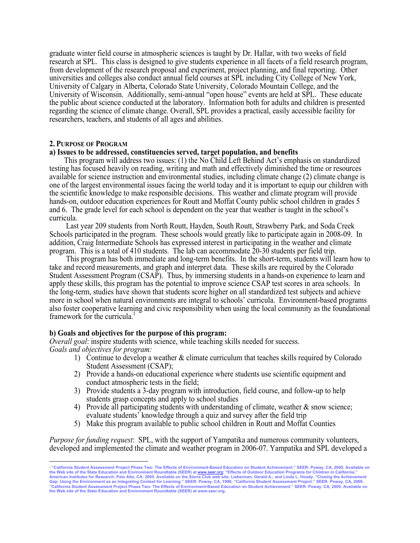graduate winter field course in atmospheric sciences is taught by Dr. Hallar, with two weeks of field research at SPL. This class is designed to give students experience in all facets of a field research program, from development of the research proposal and experiment, project planning, and final reporting. Other universities and colleges also conduct annual field courses at SPL including City College of New York, University of Calgary in Alberta, Colorado State University, Colorado Mountain College, and the University of Wisconsin. Additionally, semi-annual "open house" events are held at SPL. These educate the public about science conducted at the laboratory. Information both for adults and children is presented regarding the science of climate change. Overall, SPL provides a practical, easily accessible facility for researchers, teachers, and students of all ages and abilities.

#### **2. PURPOSE OF PROGRAM**

#### **a) Issues to be addressed, constituencies served, target population, and benefits**

 This program will address two issues: (1) the No Child Left Behind Act's emphasis on standardized testing has focused heavily on reading, writing and math and effectively diminished the time or resources available for science instruction and environmental studies, including climate change (2) climate change is one of the largest environmental issues facing the world today and it is important to equip our children with the scientific knowledge to make responsible decisions. This weather and climate program will provide hands-on, outdoor education experiences for Routt and Moffat County public school children in grades 5 and 6. The grade level for each school is dependent on the year that weather is taught in the school's curricula.

 Last year 209 students from North Routt, Hayden, South Routt, Strawberry Park, and Soda Creek Schools participated in the program. These schools would greatly like to participate again in 2008-09. In addition, Craig Intermediate Schools has expressed interest in participating in the weather and climate program. This is a total of 410 students. The lab can accommodate 20-30 students per field trip.

 This program has both immediate and long-term benefits. In the short-term, students will learn how to take and record measurements, and graph and interpret data. These skills are required by the Colorado Student Assessment Program (CSAP). Thus, by immersing students in a hands-on experience to learn and apply these skills, this program has the potential to improve science CSAP test scores in area schools. In the long-term, studies have shown that students score higher on all standardized test subjects and achieve more in school when natural environments are integral to schools' curricula. Environment-based programs also foster cooperative learning and civic responsibility when using the local community as the foundational framework for the curricula.<sup>1</sup>

#### **b) Goals and objectives for the purpose of this program:**

*Overall goal:* inspire students with science, while teaching skills needed for success. *Goals and objectives for program:*

- 1) Continue to develop a weather & climate curriculum that teaches skills required by Colorado Student Assessment (CSAP);
- 2) Provide a hands-on educational experience where students use scientific equipment and conduct atmospheric tests in the field;
- 3) Provide students a 3-day program with introduction, field course, and follow-up to help students grasp concepts and apply to school studies
- 4) Provide all participating students with understanding of climate, weather  $\&$  snow science; evaluate students' knowledge through a quiz and survey after the field trip
- 5) Make this program available to public school children in Routt and Moffat Counties

*Purpose for funding request*: SPL, with the support of Yampatika and numerous community volunteers, developed and implemented the climate and weather program in 2006-07. Yampatika and SPL developed a

<sup>1</sup> **"California Student Assessment Project Phase Two: The Effects of Environment-Based Education on Student Achievement." SEER: Poway, CA, 2005. Available on the Web site of the State Education and Environment Roundtable (SEER) at** www.seer.org**; "Effects of Outdoor Education Programs for Children in California."**  American Institutes for Research: Palo Alto, CA: 2005. Available on the Sierra Club web site; Lieberman, Gerald A.; and Linda L. Hoody. "Closing the Achievement<br>Gap: Using the Environment as an Integrating Context for Lear **the Web site of the State Education and Environment Roundtable (SEER) at www.seer.org.**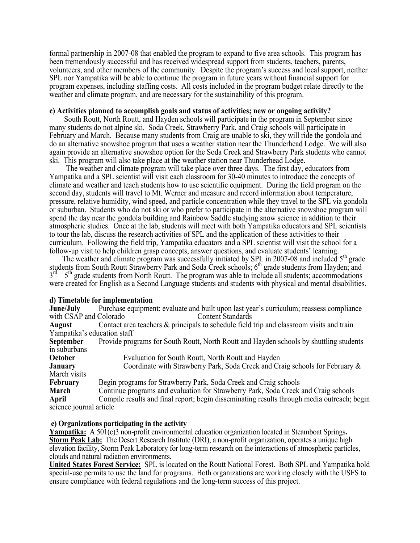formal partnership in 2007-08 that enabled the program to expand to five area schools. This program has been tremendously successful and has received widespread support from students, teachers, parents, volunteers, and other members of the community. Despite the program's success and local support, neither SPL nor Yampatika will be able to continue the program in future years without financial support for program expenses, including staffing costs. All costs included in the program budget relate directly to the weather and climate program, and are necessary for the sustainability of this program.

#### **c) Activities planned to accomplish goals and status of activities; new or ongoing activity?**

 South Routt, North Routt, and Hayden schools will participate in the program in September since many students do not alpine ski. Soda Creek, Strawberry Park, and Craig schools will participate in February and March. Because many students from Craig are unable to ski, they will ride the gondola and do an alternative snowshoe program that uses a weather station near the Thunderhead Lodge. We will also again provide an alternative snowshoe option for the Soda Creek and Strawberry Park students who cannot ski. This program will also take place at the weather station near Thunderhead Lodge.

 The weather and climate program will take place over three days. The first day, educators from Yampatika and a SPL scientist will visit each classroom for 30-40 minutes to introduce the concepts of climate and weather and teach students how to use scientific equipment. During the field program on the second day, students will travel to Mt. Werner and measure and record information about temperature, pressure, relative humidity, wind speed, and particle concentration while they travel to the SPL via gondola or suburban. Students who do not ski or who prefer to participate in the alternative snowshoe program will spend the day near the gondola building and Rainbow Saddle studying snow science in addition to their atmospheric studies. Once at the lab, students will meet with both Yampatika educators and SPL scientists to tour the lab, discuss the research activities of SPL and the application of these activities to their curriculum. Following the field trip, Yampatika educators and a SPL scientist will visit the school for a follow-up visit to help children grasp concepts, answer questions, and evaluate students' learning.

The weather and climate program was successfully initiated by SPL in 2007-08 and included 5<sup>th</sup> grade students from South Routt Strawberry Park and Soda Creek schools;  $6<sup>th</sup>$  grade students from Hayden; and  $3<sup>rd</sup> - 5<sup>th</sup>$  grade students from North Routt. The program was able to include all students; accommodations were created for English as a Second Language students and students with physical and mental disabilities.

#### **d) Timetable for implementation**

**June/July** Purchase equipment; evaluate and built upon last year's curriculum; reassess compliance with CSAP and Colorado Content Standards **August** Contact area teachers & principals to schedule field trip and classroom visits and train Yampatika's education staff **September** Provide programs for South Routt, North Routt and Hayden schools by shuttling students in suburbans **October** Evaluation for South Routt, North Routt and Hayden **January** Coordinate with Strawberry Park, Soda Creek and Craig schools for February & March visits **February** Begin programs for Strawberry Park, Soda Creek and Craig schools **March** Continue programs and evaluation for Strawberry Park, Soda Creek and Craig schools **April** Compile results and final report; begin disseminating results through media outreach; begin science journal article

#### **e) Organizations participating in the activity**

**Yampatika:** A 501(c)3 non-profit environmental education organization located in Steamboat Springs**. Storm Peak Lab:** The Desert Research Institute (DRI), a non-profit organization, operates a unique high elevation facility, Storm Peak Laboratory for long-term research on the interactions of atmospheric particles, clouds and natural radiation environments.

**United States Forest Service:** SPL is located on the Routt National Forest. Both SPL and Yampatika hold special-use permits to use the land for programs. Both organizations are working closely with the USFS to ensure compliance with federal regulations and the long-term success of this project.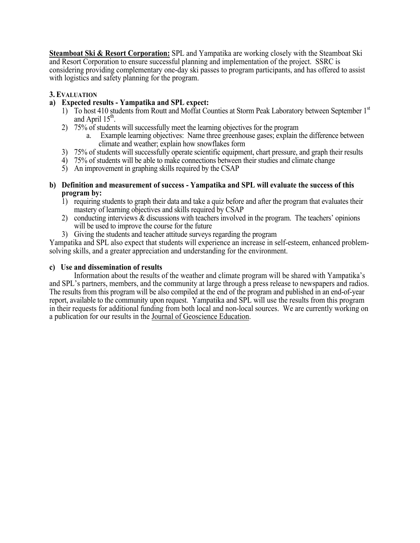**Steamboat Ski & Resort Corporation:** SPL and Yampatika are working closely with the Steamboat Ski and Resort Corporation to ensure successful planning and implementation of the project. SSRC is considering providing complementary one-day ski passes to program participants, and has offered to assist with logistics and safety planning for the program.

#### **3. EVALUATION**

### **a) Expected results - Yampatika and SPL expect:**

- 1) To host 410 students from Routt and Moffat Counties at Storm Peak Laboratory between September 1<sup>st</sup> and April  $15<sup>th</sup>$ .
- 2) 75% of students will successfully meet the learning objectives for the program
	- a. Example learning objectives: Name three greenhouse gases; explain the difference between climate and weather; explain how snowflakes form
- 3) 75% of students will successfully operate scientific equipment, chart pressure, and graph their results
- 4) 75% of students will be able to make connections between their studies and climate change
- 5) An improvement in graphing skills required by the CSAP
- **b) Definition and measurement of success - Yampatika and SPL will evaluate the success of this program by:**
	- 1) requiring students to graph their data and take a quiz before and after the program that evaluates their mastery of learning objectives and skills required by CSAP
	- 2) conducting interviews & discussions with teachers involved in the program. The teachers' opinions will be used to improve the course for the future
	- 3) Giving the students and teacher attitude surveys regarding the program

Yampatika and SPL also expect that students will experience an increase in self-esteem, enhanced problemsolving skills, and a greater appreciation and understanding for the environment.

#### **c) Use and dissemination of results**

Information about the results of the weather and climate program will be shared with Yampatika's and SPL's partners, members, and the community at large through a press release to newspapers and radios. The results from this program will be also compiled at the end of the program and published in an end-of-year report, available to the community upon request. Yampatika and SPL will use the results from this program in their requests for additional funding from both local and non-local sources. We are currently working on a publication for our results in the Journal of Geoscience Education.